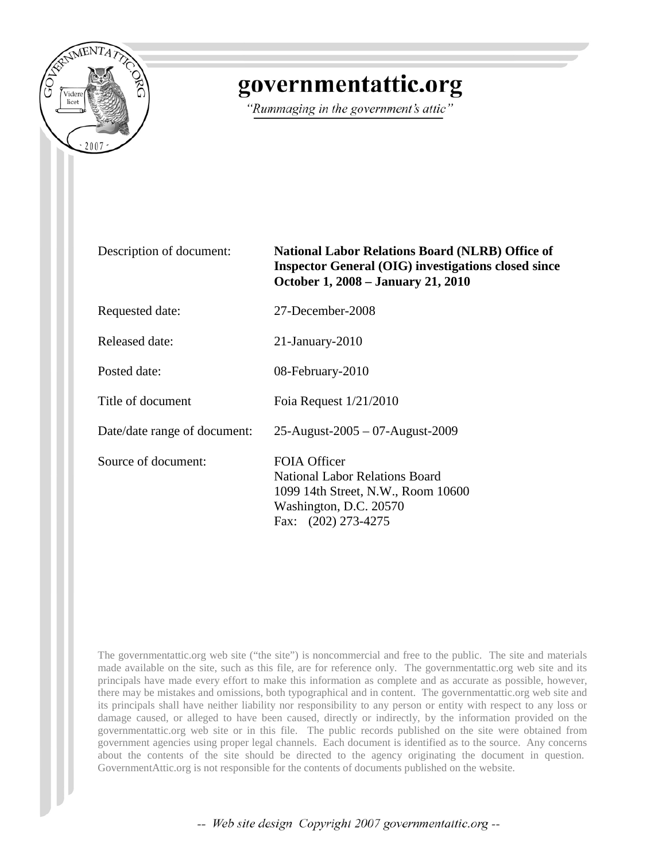

## governmentattic.org

"Rummaging in the government's attic"

| Description of document:     | <b>National Labor Relations Board (NLRB) Office of</b><br><b>Inspector General (OIG) investigations closed since</b><br>October 1, 2008 – January 21, 2010 |  |  |  |  |
|------------------------------|------------------------------------------------------------------------------------------------------------------------------------------------------------|--|--|--|--|
| Requested date:              | 27-December-2008                                                                                                                                           |  |  |  |  |
| Released date:               | $21$ -January- $2010$                                                                                                                                      |  |  |  |  |
| Posted date:                 | 08-February-2010                                                                                                                                           |  |  |  |  |
| Title of document            | Foia Request $1/21/2010$                                                                                                                                   |  |  |  |  |
| Date/date range of document: | 25-August-2005 - 07-August-2009                                                                                                                            |  |  |  |  |
| Source of document:          | <b>FOIA Officer</b><br><b>National Labor Relations Board</b><br>1099 14th Street, N.W., Room 10600<br>Washington, D.C. 20570<br>Fax: (202) 273-4275        |  |  |  |  |

The governmentattic.org web site ("the site") is noncommercial and free to the public. The site and materials made available on the site, such as this file, are for reference only. The governmentattic.org web site and its principals have made every effort to make this information as complete and as accurate as possible, however, there may be mistakes and omissions, both typographical and in content. The governmentattic.org web site and its principals shall have neither liability nor responsibility to any person or entity with respect to any loss or damage caused, or alleged to have been caused, directly or indirectly, by the information provided on the governmentattic.org web site or in this file. The public records published on the site were obtained from government agencies using proper legal channels. Each document is identified as to the source. Any concerns about the contents of the site should be directed to the agency originating the document in question. GovernmentAttic.org is not responsible for the contents of documents published on the website.

-- Web site design Copyright 2007 governmentattic.org --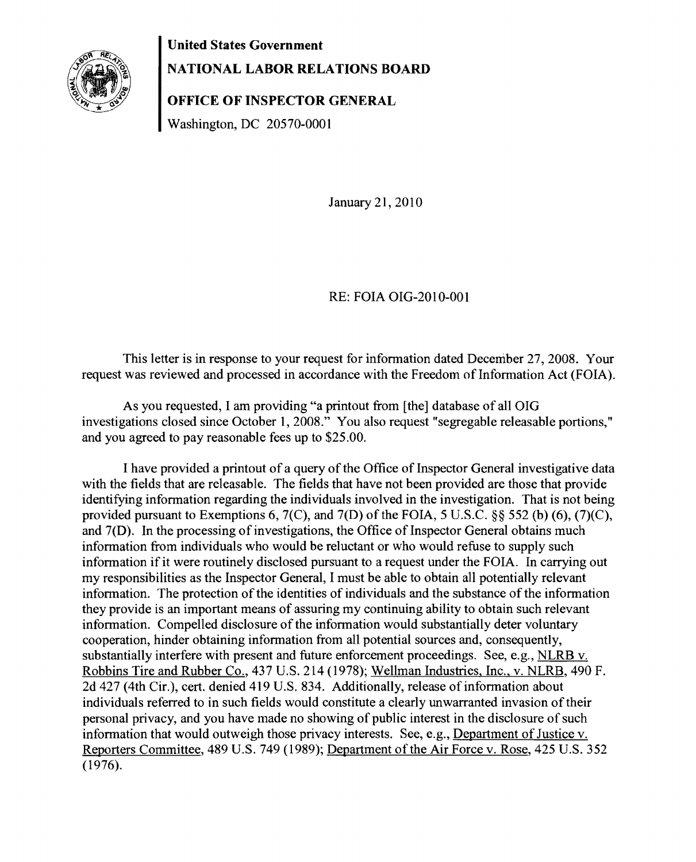United States Government



NATIONAL LABOR RELATIONS BOARD

OFFICE OF INSPECTOR GENERAL

Washington, DC 20570-0001

January 21,2010

## RE: FOIA OIG-2010-001

This letter is in response to your request for information dated December 27, 2008. Your request was reviewed and processed in accordance with the Freedom of Information Act (FOIA).

As you requested, I am providing "a printout from [the] database of all OIG investigations closed since October 1,2008." You also request "segregable releasable portions," and you agreed to pay reasonable fees up to \$25.00.

I have provided a printout of a query of the Office of Inspector General investigative data with the fields that are releasable. The fields that have not been provided are those that provide identifying information regarding the individuals involved in the investigation. That is not being provided pursuant to Exemptions 6, 7(C), and 7(D) of the FOIA, 5 U.S.C. §§ 552 (b) (6), (7)(C), and 7(D). In the processing of investigations, the Office of Inspector General obtains much information from individuals who would be reluctant or who would refuse to supply such information if it were routinely disclosed pursuant to a request under the FOIA. In carrying out my responsibilities as the Inspector General, I must be able to obtain all potentially relevant information. The protection of the identities of individuals and the substance of the information they provide is an important means of assuring my continuing ability to obtain such relevant information. Compelled disclosure of the information would substantially deter voluntary cooperation, hinder obtaining information from all potential sources and, consequently, substantially interfere with present and future enforcement proceedings. See, e.g., NLRB v. Robbins Tire and Rubber Co., 437 U.S. 214 (1978); Wellman Industries, Inc., v. NLRB, 490 F. 2d 427 (4th Cir.), cert. denied 419 U.S. 834. Additionally, release of information about individuals referred to in such fields would constitute a clearly unwarranted invasion of their personal privacy, and you have made no showing of public interest in the disclosure of such information that would outweigh those privacy interests. See, e.g., Department of Justice v. Reporters Committee, 489 U.S. 749 (1989); Department of the Air Force v. Rose, 425 U.S. 352 (1976).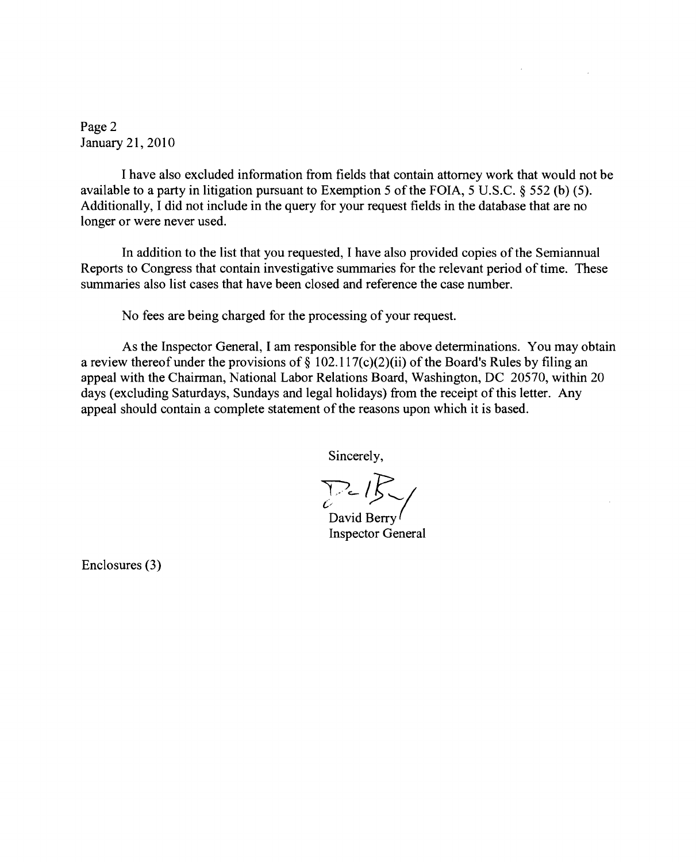Page 2 January 21,2010

I have also excluded information from fields that contain attorney work that would not be available to a party in litigation pursuant to Exemption 5 of the FOIA, 5 U.S.C. § 552 (b) (5). Additionally, I did not include in the query for your request fields in the database that are no longer or were never used.

In addition to the list that you requested, I have also provided copies of the Semiannual Reports to Congress that contain investigative summaries for the relevant period of time. These summaries also list cases that have been closed and reference the case number.

No fees are being charged for the processing of your request.

As the Inspector General, I am responsible for the above determinations. You may obtain a review thereof under the provisions of  $\S 102.117(c)(2)(ii)$  of the Board's Rules by filing an appeal with the Chairman, National Labor Relations Board, Washington, DC 20570, within 20 days (excluding Saturdays, Sundays and legal holidays) from the receipt of this letter. Any appeal should contain a complete statement of the reasons upon which it is based.

Sincerely,

*)/e-'f,-/* 

David Berry Inspector General

Enclosures (3)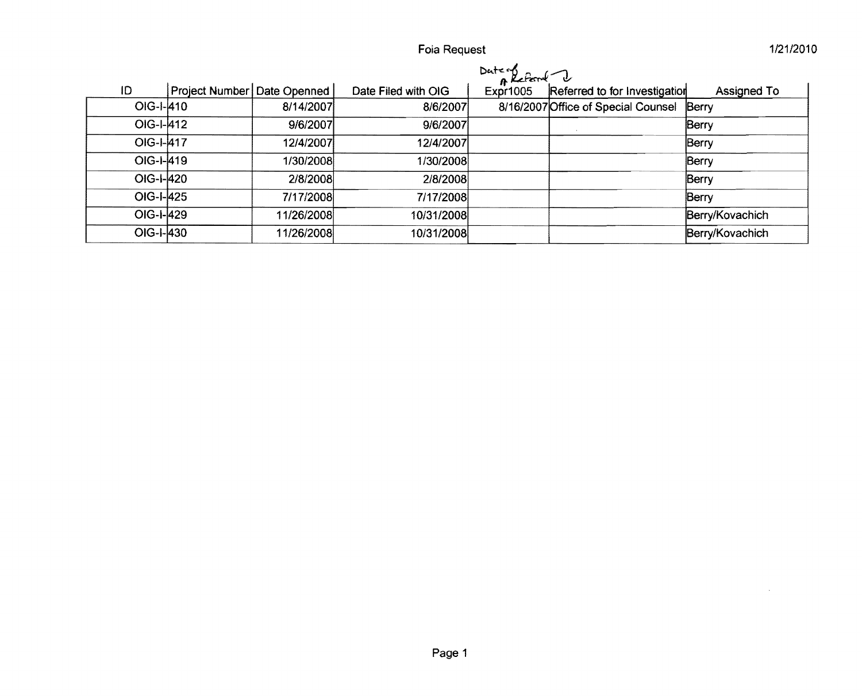Foia Request

|           |                               |            |                     | Dute of<br>Expr1005 Refer |                                           |                 |
|-----------|-------------------------------|------------|---------------------|---------------------------|-------------------------------------------|-----------------|
| ID        | Project Number   Date Openned |            | Date Filed with OIG |                           | Referred to for Investigation             | Assigned To     |
| OIG-I-410 |                               | 8/14/2007  | 8/6/2007            |                           | 8/16/2007 Office of Special Counsel Berry |                 |
| OIG-I-412 |                               | 9/6/2007   | 9/6/2007            |                           |                                           | Berry           |
| OIG-I-417 |                               | 12/4/2007  | 12/4/2007           |                           |                                           | Berry           |
| OIG-I-419 |                               | 1/30/2008  | 1/30/2008           |                           |                                           | Berry           |
| OIG-I-420 |                               | 2/8/2008   | 2/8/2008            |                           |                                           | Berry           |
| OIG-I-425 |                               | 7/17/2008  | 7/17/2008           |                           |                                           | Berry           |
| OIG-I-429 |                               | 11/26/2008 | 10/31/2008          |                           |                                           | Berry/Kovachich |
| OIG-I-430 |                               | 11/26/2008 | 10/31/2008          |                           |                                           | Berry/Kovachich |

1/21/2010

 $\sim$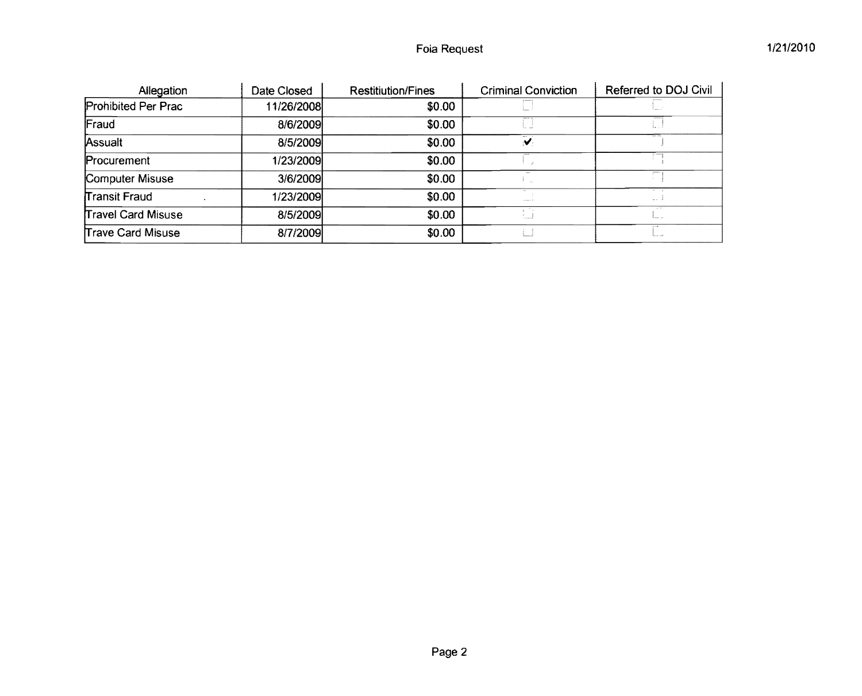| Allegation               | Date Closed | <b>Restitiution/Fines</b> | <b>Criminal Conviction</b> | Referred to DOJ Civil |
|--------------------------|-------------|---------------------------|----------------------------|-----------------------|
| Prohibited Per Prac      | 11/26/2008  | \$0.00                    |                            |                       |
| Fraud                    | 8/6/2009    | \$0.00                    |                            |                       |
| Assualt                  | 8/5/2009    | \$0.00                    | $\overline{\mathbf{v}}$    |                       |
| Procurement              | 1/23/2009   | \$0.00                    |                            |                       |
| Computer Misuse          | 3/6/2009    | \$0.00                    |                            |                       |
| Transit Fraud            | 1/23/2009   | \$0.00                    | $--- 1$                    | $\Delta\Delta$        |
| Travel Card Misuse       | 8/5/2009    | \$0.00                    | - 54<br>المسدد             | . .<br>1              |
| <b>Trave Card Misuse</b> | 8/7/2009    | \$0.00                    |                            | مد برما               |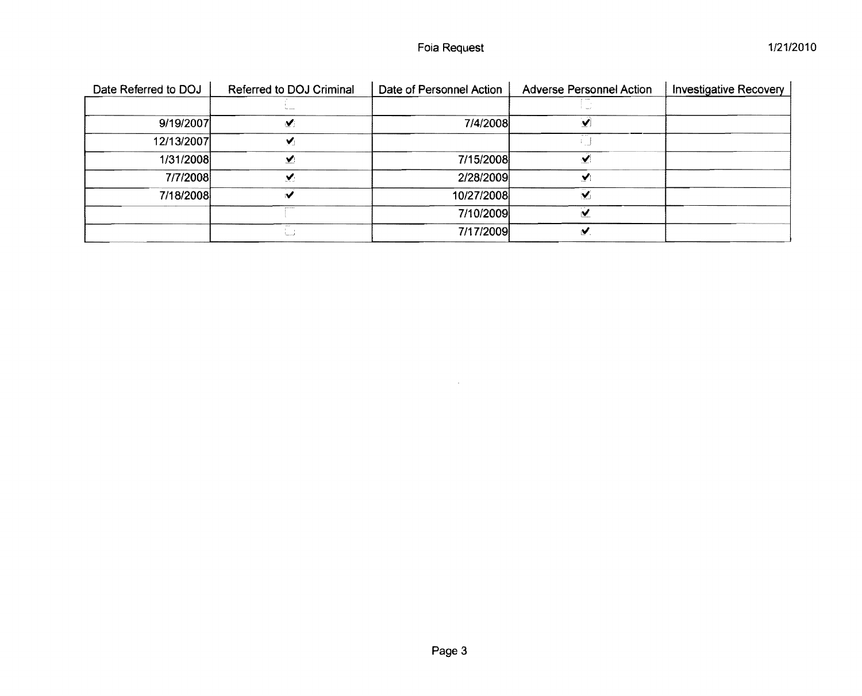| Date Referred to DOJ | Referred to DOJ Criminal | Date of Personnel Action | <b>Adverse Personnel Action</b> | <b>Investigative Recovery</b> |
|----------------------|--------------------------|--------------------------|---------------------------------|-------------------------------|
|                      |                          |                          |                                 |                               |
| 9/19/2007            | $\blacktriangledown$     | 7/4/2008                 |                                 |                               |
| 12/13/2007           | ✔                        |                          |                                 |                               |
| 1/31/2008            | V.                       | 7/15/2008                |                                 |                               |
| 7/7/2008             | v                        | 2/28/2009                | V.                              |                               |
| 7/18/2008            | $\blacktriangleright$    | 10/27/2008               | $\checkmark$                    |                               |
|                      |                          | 7/10/2009                |                                 |                               |
|                      | ه  ا                     | 7/17/2009                | M                               |                               |

 $\mathcal{L}^{\text{max}}_{\text{max}}$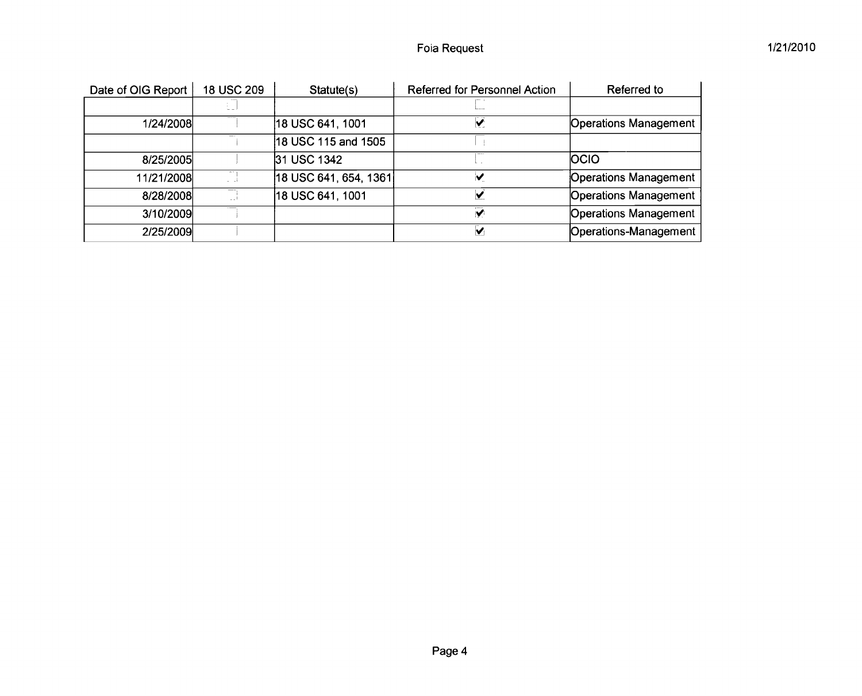| Date of OIG Report | 18 USC 209 | Statute(s)            | Referred for Personnel Action | Referred to                  |
|--------------------|------------|-----------------------|-------------------------------|------------------------------|
|                    |            |                       |                               |                              |
| 1/24/2008          |            | 18 USC 641, 1001      | $\bar{v}$                     | <b>Operations Management</b> |
|                    |            | 18 USC 115 and 1505   |                               |                              |
| 8/25/2005          |            | 31 USC 1342           |                               | <b>OCIO</b>                  |
| 11/21/2008         |            | 18 USC 641, 654, 1361 | M                             | <b>Operations Management</b> |
| 8/28/2008          |            | 18 USC 641, 1001      |                               | <b>Operations Management</b> |
| 3/10/2009          |            |                       | $\overline{\mathbf{v}}$       | <b>Operations Management</b> |
| 2/25/2009          |            |                       | M                             | Operations-Management        |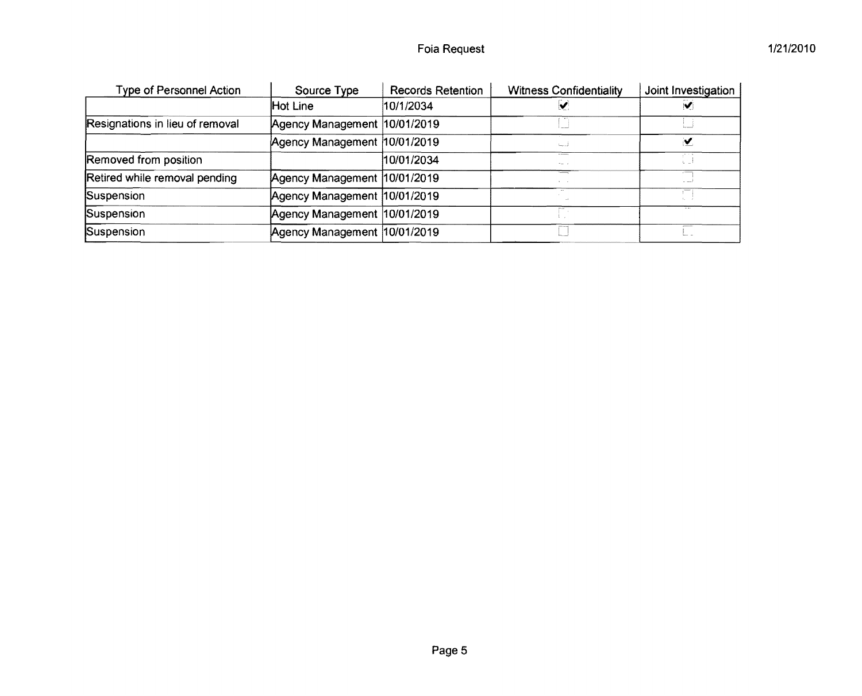| <b>Type of Personnel Action</b> | Source Type                   | Records Retention | <b>Witness Confidentiality</b> | Joint Investigation     |
|---------------------------------|-------------------------------|-------------------|--------------------------------|-------------------------|
|                                 | Hot Line                      | 10/1/2034         | V                              | $\overline{\mathbf{v}}$ |
| Resignations in lieu of removal | Agency Management  10/01/2019 |                   |                                |                         |
|                                 | Agency Management  10/01/2019 |                   | فتسه                           | ⊻                       |
| Removed from position           |                               | 10/01/2034        | 17.23<br>man or                |                         |
| Retired while removal pending   | Agency Management 10/01/2019  |                   |                                |                         |
| Suspension                      | Agency Management 10/01/2019  |                   |                                |                         |
| Suspension                      | Agency Management 10/01/2019  |                   |                                |                         |
| Suspension                      | Agency Management 10/01/2019  |                   |                                |                         |